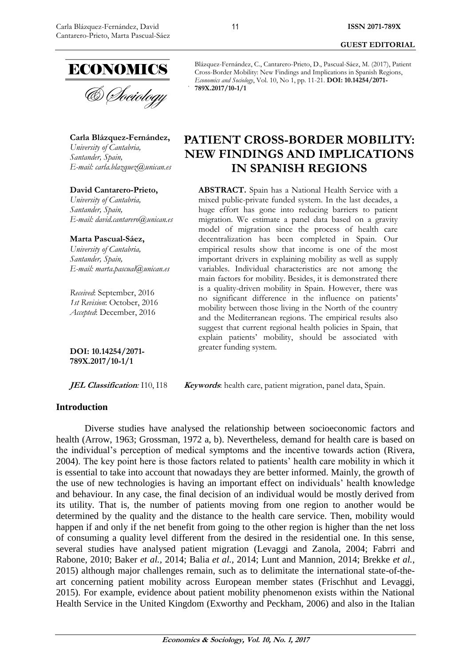

**Carla Blázquez-Fernández,**

*University of Cantabria, Santander, Spain, E-mail: [carla.blazquez@unican.es](mailto:carla.blazquez@unican.es)*

#### **David Cantarero-Prieto,**

*University of Cantabria, Santander, Spain, E-mail: [david.cantarero@unican.es](mailto:david.cantarero@unican.es)*

**Marta Pascual-Sáez,** *University of Cantabria,* 

*Santander, Spain, E-mail: [marta.pascual@unican.es](mailto:marta.pascual@unican.es)*

*Received*: September, 2016 *1st Revision*: October, 2016 *Accepted*: December, 2016

**DOI: 10.14254/2071- 789X.2017/10-1/1**

#### **Introduction**

Blázquez-Fernández, C., Cantarero-Prieto, D., Pascual-Sáez, M. (2017), Patient Cross-Border Mobility: New Findings and Implications in Spanish Regions, *Economics and Sociology*, Vol. 10, No 1, pp. 11-21. **DOI: 10.14254/2071- 789X.2017/10-1/1**

**PATIENT CROSS-BORDER MOBILITY: NEW FINDINGS AND IMPLICATIONS IN SPANISH REGIONS**

**ABSTRACT.** Spain has a National Health Service with a mixed public-private funded system. In the last decades, a huge effort has gone into reducing barriers to patient migration. We estimate a panel data based on a gravity model of migration since the process of health care decentralization has been completed in Spain. Our empirical results show that income is one of the most important drivers in explaining mobility as well as supply variables. Individual characteristics are not among the main factors for mobility. Besides, it is demonstrated there is a quality-driven mobility in Spain. However, there was no significant difference in the influence on patients' mobility between those living in the North of the country and the Mediterranean regions. The empirical results also suggest that current regional health policies in Spain, that explain patients' mobility, should be associated with greater funding system.

**JEL Classification**: I10, I18 **Keywords**: health care, patient migration, panel data, Spain.

Diverse studies have analysed the relationship between socioeconomic factors and health (Arrow, 1963; Grossman, 1972 a, b). Nevertheless, demand for health care is based on the individual's perception of medical symptoms and the incentive towards action (Rivera, 2004). The key point here is those factors related to patients' health care mobility in which it is essential to take into account that nowadays they are better informed. Mainly, the growth of the use of new technologies is having an important effect on individuals' health knowledge and behaviour. In any case, the final decision of an individual would be mostly derived from its utility. That is, the number of patients moving from one region to another would be determined by the quality and the distance to the health care service. Then, mobility would happen if and only if the net benefit from going to the other region is higher than the net loss of consuming a quality level different from the desired in the residential one. In this sense, several studies have analysed patient migration (Levaggi and Zanola, 2004; Fabrri and Rabone, 2010; Baker *et al.*, 2014; Balia *et al.*, 2014; Lunt and Mannion, 2014; Brekke *et al.*, 2015) although major challenges remain, such as to delimitate the international state-of-theart concerning patient mobility across European member states (Frischhut and Levaggi, 2015). For example, evidence about patient mobility phenomenon exists within the National Health Service in the United Kingdom (Exworthy and Peckham, 2006) and also in the Italian

11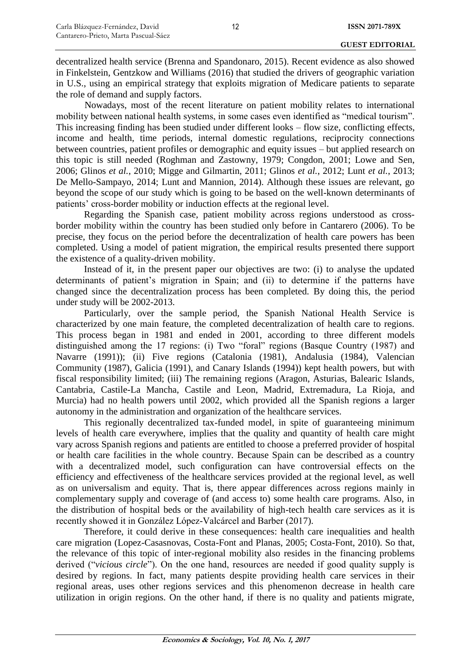decentralized health service (Brenna and Spandonaro, 2015). Recent evidence as also showed in Finkelstein, Gentzkow and Williams (2016) that studied the drivers of geographic variation in U.S., using an empirical strategy that exploits migration of Medicare patients to separate the role of demand and supply factors.

Nowadays, most of the recent literature on patient mobility relates to international mobility between national health systems, in some cases even identified as "medical tourism". This increasing finding has been studied under different looks – flow size, conflicting effects, income and health, time periods, internal domestic regulations, reciprocity connections between countries, patient profiles or demographic and equity issues – but applied research on this topic is still needed (Roghman and Zastowny, 1979; Congdon, 2001; Lowe and Sen, 2006; Glinos *et al.*, 2010; Migge and Gilmartin, 2011; Glinos *et al.*, 2012; Lunt *et al.*, 2013; De Mello-Sampayo, 2014; Lunt and Mannion, 2014). Although these issues are relevant, go beyond the scope of our study which is going to be based on the well-known determinants of patients' cross-border mobility or induction effects at the regional level.

Regarding the Spanish case, patient mobility across regions understood as crossborder mobility within the country has been studied only before in Cantarero (2006). To be precise, they focus on the period before the decentralization of health care powers has been completed. Using a model of patient migration, the empirical results presented there support the existence of a quality-driven mobility.

Instead of it, in the present paper our objectives are two: (i) to analyse the updated determinants of patient's migration in Spain; and (ii) to determine if the patterns have changed since the decentralization process has been completed. By doing this, the period under study will be 2002-2013.

Particularly, over the sample period, the Spanish National Health Service is characterized by one main feature, the completed decentralization of health care to regions. This process began in 1981 and ended in 2001, according to three different models distinguished among the 17 regions: (i) Two "foral" regions (Basque Country (1987) and Navarre (1991)); (ii) Five regions (Catalonia (1981), Andalusia (1984), Valencian Community (1987), Galicia (1991), and Canary Islands (1994)) kept health powers, but with fiscal responsibility limited; (iii) The remaining regions (Aragon, Asturias, Balearic Islands, Cantabria, Castile-La Mancha, Castile and Leon, Madrid, Extremadura, La Rioja, and Murcia) had no health powers until 2002, which provided all the Spanish regions a larger autonomy in the administration and organization of the healthcare services.

This regionally decentralized tax-funded model, in spite of guaranteeing minimum levels of health care everywhere, implies that the quality and quantity of health care might vary across Spanish regions and patients are entitled to choose a preferred provider of hospital or health care facilities in the whole country. Because Spain can be described as a country with a decentralized model, such configuration can have controversial effects on the efficiency and effectiveness of the healthcare services provided at the regional level, as well as on universalism and equity. That is, there appear differences across regions mainly in complementary supply and coverage of (and access to) some health care programs. Also, in the distribution of hospital beds or the availability of high-tech health care services as it is recently showed it in González López-Valcárcel and Barber (2017).

Therefore, it could derive in these consequences: health care inequalities and health care migration (Lopez-Casasnovas, Costa-Font and Planas, 2005; Costa-Font, 2010). So that, the relevance of this topic of inter-regional mobility also resides in the financing problems derived ("*vicious circle*"). On the one hand, resources are needed if good quality supply is desired by regions. In fact, many patients despite providing health care services in their regional areas, uses other regions services and this phenomenon decrease in health care utilization in origin regions. On the other hand, if there is no quality and patients migrate,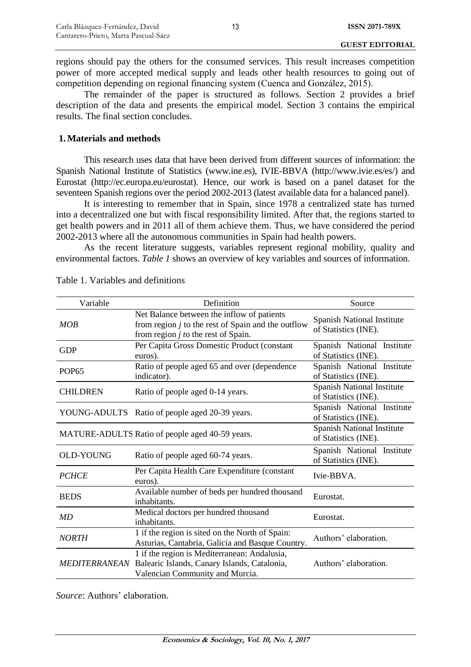regions should pay the others for the consumed services. This result increases competition power of more accepted medical supply and leads other health resources to going out of competition depending on regional financing system (Cuenca and González, 2015).

The remainder of the paper is structured as follows. Section 2 provides a brief description of the data and presents the empirical model. Section 3 contains the empirical results. The final section concludes.

### **1.Materials and methods**

This research uses data that have been derived from different sources of information: the Spanish National Institute of Statistics (www.ine.es), IVIE-BBVA (http://www.ivie.es/es/) and Eurostat (http://ec.europa.eu/eurostat). Hence, our work is based on a panel dataset for the seventeen Spanish regions over the period 2002-2013 (latest available data for a balanced panel).

It is interesting to remember that in Spain, since 1978 a centralized state has turned into a decentralized one but with fiscal responsibility limited. After that, the regions started to get health powers and in 2011 all of them achieve them. Thus, we have considered the period 2002-2013 where all the autonomous communities in Spain had health powers.

As the recent literature suggests, variables represent regional mobility, quality and environmental factors. *Table 1* shows an overview of key variables and sources of information.

| Variable             | Definition                                                                                                                                  | Source                                                    |  |  |
|----------------------|---------------------------------------------------------------------------------------------------------------------------------------------|-----------------------------------------------------------|--|--|
| MOB                  | Net Balance between the inflow of patients<br>from region $j$ to the rest of Spain and the outflow<br>from region $j$ to the rest of Spain. | <b>Spanish National Institute</b><br>of Statistics (INE). |  |  |
| <b>GDP</b>           | Per Capita Gross Domestic Product (constant<br>euros).                                                                                      | Spanish National Institute<br>of Statistics (INE).        |  |  |
| <b>POP65</b>         | Ratio of people aged 65 and over (dependence<br>indicator).                                                                                 | Spanish National Institute<br>of Statistics (INE).        |  |  |
| <b>CHILDREN</b>      | Ratio of people aged 0-14 years.                                                                                                            | Spanish National Institute<br>of Statistics (INE).        |  |  |
|                      | YOUNG-ADULTS Ratio of people aged 20-39 years.                                                                                              | Spanish National Institute<br>of Statistics (INE).        |  |  |
|                      | MATURE-ADULTS Ratio of people aged 40-59 years.                                                                                             | Spanish National Institute<br>of Statistics (INE).        |  |  |
| <b>OLD-YOUNG</b>     | Ratio of people aged 60-74 years.                                                                                                           | Spanish National Institute<br>of Statistics (INE).        |  |  |
| <b>PCHCE</b>         | Per Capita Health Care Expenditure (constant<br>euros).                                                                                     | Ivie-BBVA.                                                |  |  |
| <b>BEDS</b>          | Available number of beds per hundred thousand<br>inhabitants.                                                                               | Eurostat.                                                 |  |  |
| MD                   | Medical doctors per hundred thousand<br>inhabitants.                                                                                        | Eurostat.                                                 |  |  |
| <b>NORTH</b>         | 1 if the region is sited on the North of Spain:<br>Asturias, Cantabria, Galicia and Basque Country.                                         | Authors' elaboration.                                     |  |  |
| <b>MEDITERRANEAN</b> | 1 if the region is Mediterranean: Andalusia,<br>Balearic Islands, Canary Islands, Catalonia,<br>Valencian Community and Murcia.             | Authors' elaboration.                                     |  |  |

Table 1. Variables and definitions

*Source*: Authors' elaboration.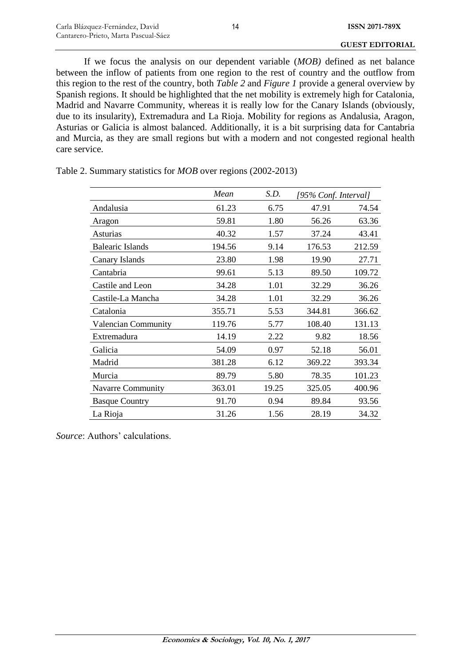If we focus the analysis on our dependent variable (*MOB)* defined as net balance between the inflow of patients from one region to the rest of country and the outflow from this region to the rest of the country*,* both *Table 2* and *Figure 1* provide a general overview by Spanish regions. It should be highlighted that the net mobility is extremely high for Catalonia, Madrid and Navarre Community, whereas it is really low for the Canary Islands (obviously, due to its insularity), Extremadura and La Rioja. Mobility for regions as Andalusia, Aragon, Asturias or Galicia is almost balanced. Additionally, it is a bit surprising data for Cantabria and Murcia, as they are small regions but with a modern and not congested regional health care service.

|                            | Mean   | S.D.  | [95% Conf. Interval] |        |  |
|----------------------------|--------|-------|----------------------|--------|--|
| Andalusia                  | 61.23  | 6.75  | 47.91                | 74.54  |  |
| Aragon                     | 59.81  | 1.80  | 56.26                | 63.36  |  |
| <b>Asturias</b>            | 40.32  | 1.57  | 37.24                | 43.41  |  |
| <b>Balearic Islands</b>    | 194.56 | 9.14  | 176.53               | 212.59 |  |
| Canary Islands             | 23.80  | 1.98  | 19.90                | 27.71  |  |
| Cantabria                  | 99.61  | 5.13  | 89.50                | 109.72 |  |
| Castile and Leon           | 34.28  | 1.01  | 32.29                | 36.26  |  |
| Castile-La Mancha          | 34.28  | 1.01  | 32.29                | 36.26  |  |
| Catalonia                  | 355.71 | 5.53  | 344.81               | 366.62 |  |
| <b>Valencian Community</b> | 119.76 | 5.77  | 108.40               | 131.13 |  |
| Extremadura                | 14.19  | 2.22  | 9.82                 | 18.56  |  |
| Galicia                    | 54.09  | 0.97  | 52.18                | 56.01  |  |
| Madrid                     | 381.28 | 6.12  | 369.22               | 393.34 |  |
| Murcia                     | 89.79  | 5.80  | 78.35                | 101.23 |  |
| <b>Navarre Community</b>   | 363.01 | 19.25 | 325.05               | 400.96 |  |
| <b>Basque Country</b>      | 91.70  | 0.94  | 89.84                | 93.56  |  |
| La Rioja                   | 31.26  | 1.56  | 28.19                | 34.32  |  |

Table 2. Summary statistics for *MOB* over regions (2002-2013)

*Source*: Authors' calculations.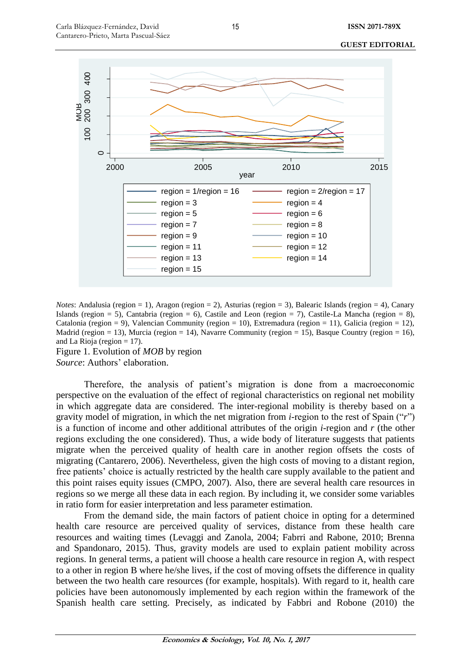

*Notes*: Andalusia (region = 1), Aragon (region = 2), Asturias (region = 3), Balearic Islands (region = 4), Canary Islands (region = 5), Cantabria (region = 6), Castile and Leon (region = 7), Castile-La Mancha (region = 8), Catalonia (region = 9), Valencian Community (region = 10), Extremadura (region = 11), Galicia (region = 12), Madrid (region = 13), Murcia (region = 14), Navarre Community (region = 15), Basque Country (region = 16), and La Rioja (region  $= 17$ ).

Figure 1. Evolution of *MOB* by region

*Source*: Authors' elaboration.

Therefore, the analysis of patient's migration is done from a macroeconomic perspective on the evaluation of the effect of regional characteristics on regional net mobility in which aggregate data are considered. The inter-regional mobility is thereby based on a gravity model of migration, in which the net migration from *i*-region to the rest of Spain ("*r*") is a function of income and other additional attributes of the origin *i*-region and *r* (the other regions excluding the one considered). Thus, a wide body of literature suggests that patients migrate when the perceived quality of health care in another region offsets the costs of migrating (Cantarero, 2006). Nevertheless, given the high costs of moving to a distant region, free patients' choice is actually restricted by the health care supply available to the patient and this point raises equity issues (CMPO, 2007). Also, there are several health care resources in regions so we merge all these data in each region. By including it, we consider some variables in ratio form for easier interpretation and less parameter estimation.

From the demand side, the main factors of patient choice in opting for a determined health care resource are perceived quality of services, distance from these health care resources and waiting times (Levaggi and Zanola, 2004; Fabrri and Rabone, 2010; Brenna and Spandonaro, 2015). Thus, gravity models are used to explain patient mobility across regions. In general terms, a patient will choose a health care resource in region A, with respect to a other in region B where he/she lives, if the cost of moving offsets the difference in quality between the two health care resources (for example, hospitals). With regard to it, health care policies have been autonomously implemented by each region within the framework of the Spanish health care setting. Precisely, as indicated by Fabbri and Robone (2010) the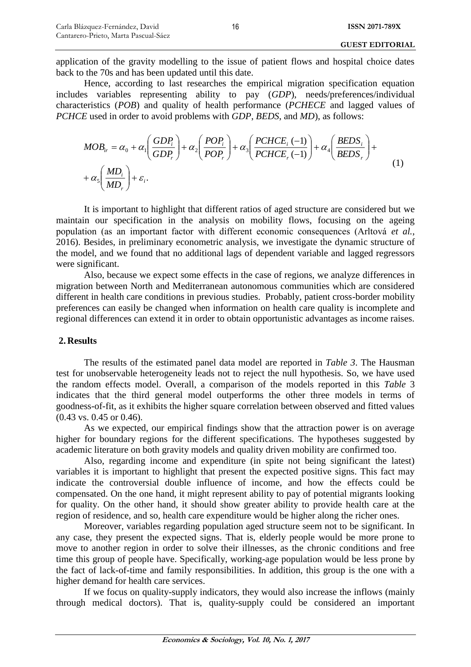application of the gravity modelling to the issue of patient flows and hospital choice dates back to the 70s and has been updated until this date.

Hence, according to last researches the empirical migration specification equation includes variables representing ability to pay (*GDP*), needs/preferences/individual characteristics (*POB*) and quality of health performance (*PCHECE* and lagged values of *PCHCE* used in order to avoid problems with *GDP*, *BEDS*, and *MD*), as follows:

$$
MOB_{ir} = \alpha_0 + \alpha_1 \left(\frac{GDP_i}{GDP_r}\right) + \alpha_2 \left(\frac{POP_i}{POP_r}\right) + \alpha_3 \left(\frac{PCHCE_i(-1)}{PCHCE_r(-1)}\right) + \alpha_4 \left(\frac{BEDS_i}{BEDS_r}\right) + \alpha_5 \left(\frac{MD_i}{MD_r}\right) + \varepsilon_i.
$$
\n(1)

It is important to highlight that different ratios of aged structure are considered but we maintain our specification in the analysis on mobility flows, focusing on the ageing population (as an important factor with different economic consequences (Arltová *et al.*, 2016). Besides, in preliminary econometric analysis, we investigate the dynamic structure of the model, and we found that no additional lags of dependent variable and lagged regressors were significant.

Also, because we expect some effects in the case of regions, we analyze differences in migration between North and Mediterranean autonomous communities which are considered different in health care conditions in previous studies. Probably, patient cross-border mobility preferences can easily be changed when information on health care quality is incomplete and regional differences can extend it in order to obtain opportunistic advantages as income raises.

## **2. Results**

The results of the estimated panel data model are reported in *Table 3*. The Hausman test for unobservable heterogeneity leads not to reject the null hypothesis. So, we have used the random effects model. Overall, a comparison of the models reported in this *Table* 3 indicates that the third general model outperforms the other three models in terms of goodness-of-fit, as it exhibits the higher square correlation between observed and fitted values (0.43 vs. 0.45 or 0.46).

As we expected, our empirical findings show that the attraction power is on average higher for boundary regions for the different specifications. The hypotheses suggested by academic literature on both gravity models and quality driven mobility are confirmed too.

Also, regarding income and expenditure (in spite not being significant the latest) variables it is important to highlight that present the expected positive signs. This fact may indicate the controversial double influence of income, and how the effects could be compensated. On the one hand, it might represent ability to pay of potential migrants looking for quality. On the other hand, it should show greater ability to provide health care at the region of residence, and so, health care expenditure would be higher along the richer ones.

Moreover, variables regarding population aged structure seem not to be significant. In any case, they present the expected signs. That is, elderly people would be more prone to move to another region in order to solve their illnesses, as the chronic conditions and free time this group of people have. Specifically, working-age population would be less prone by the fact of lack-of-time and family responsibilities. In addition, this group is the one with a higher demand for health care services.

If we focus on quality-supply indicators, they would also increase the inflows (mainly through medical doctors). That is, quality-supply could be considered an important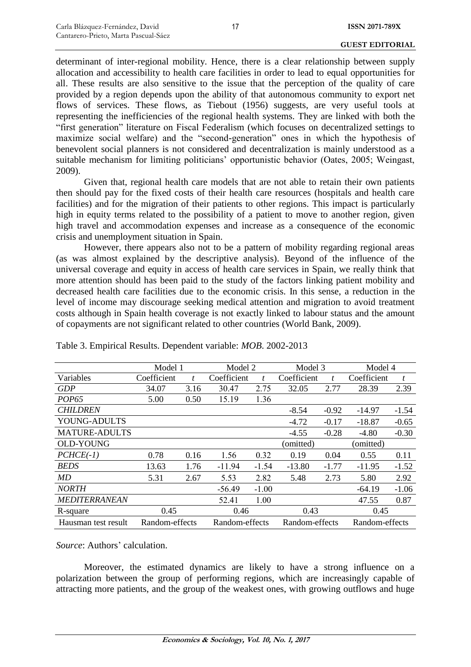determinant of inter-regional mobility. Hence, there is a clear relationship between supply allocation and accessibility to health care facilities in order to lead to equal opportunities for all. These results are also sensitive to the issue that the perception of the quality of care provided by a region depends upon the ability of that autonomous community to export net flows of services. These flows, as Tiebout (1956) suggests, are very useful tools at representing the inefficiencies of the regional health systems. They are linked with both the "first generation" literature on Fiscal Federalism (which focuses on decentralized settings to maximize social welfare) and the "second-generation" ones in which the hypothesis of benevolent social planners is not considered and decentralization is mainly understood as a suitable mechanism for limiting politicians' opportunistic behavior (Oates, 2005; Weingast, 2009).

Given that, regional health care models that are not able to retain their own patients then should pay for the fixed costs of their health care resources (hospitals and health care facilities) and for the migration of their patients to other regions. This impact is particularly high in equity terms related to the possibility of a patient to move to another region, given high travel and accommodation expenses and increase as a consequence of the economic crisis and unemployment situation in Spain.

However, there appears also not to be a pattern of mobility regarding regional areas (as was almost explained by the descriptive analysis). Beyond of the influence of the universal coverage and equity in access of health care services in Spain, we really think that more attention should has been paid to the study of the factors linking patient mobility and decreased health care facilities due to the economic crisis. In this sense, a reduction in the level of income may discourage seeking medical attention and migration to avoid treatment costs although in Spain health coverage is not exactly linked to labour status and the amount of copayments are not significant related to other countries (World Bank, 2009).

|                      | Model 1        |      | Model 2        | Model 3 |                | Model 4 |                |         |
|----------------------|----------------|------|----------------|---------|----------------|---------|----------------|---------|
| Variables            | Coefficient    | t    | Coefficient    | t.      | Coefficient    | t       | Coefficient    | t       |
| <b>GDP</b>           | 34.07          | 3.16 | 30.47          | 2.75    | 32.05          | 2.77    | 28.39          | 2.39    |
| <b>POP65</b>         | 5.00           | 0.50 | 15.19          | 1.36    |                |         |                |         |
| <b>CHILDREN</b>      |                |      |                |         | $-8.54$        | $-0.92$ | $-14.97$       | $-1.54$ |
| YOUNG-ADULTS         |                |      |                |         | $-4.72$        | $-0.17$ | $-18.87$       | $-0.65$ |
| <b>MATURE-ADULTS</b> |                |      |                |         | $-4.55$        | $-0.28$ | $-4.80$        | $-0.30$ |
| <b>OLD-YOUNG</b>     |                |      |                |         | (omitted)      |         | (omitted)      |         |
| $PCHCE(-1)$          | 0.78           | 0.16 | 1.56           | 0.32    | 0.19           | 0.04    | 0.55           | 0.11    |
| <b>BEDS</b>          | 13.63          | 1.76 | $-11.94$       | $-1.54$ | $-13.80$       | $-1.77$ | $-11.95$       | $-1.52$ |
| MD                   | 5.31           | 2.67 | 5.53           | 2.82    | 5.48           | 2.73    | 5.80           | 2.92    |
| <b>NORTH</b>         |                |      | $-56.49$       | $-1.00$ |                |         | $-64.19$       | $-1.06$ |
| <b>MEDITERRANEAN</b> |                |      | 52.41          | 1.00    |                |         | 47.55          | 0.87    |
| R-square             | 0.45           |      | 0.46           |         | 0.43           |         | 0.45           |         |
| Hausman test result  | Random-effects |      | Random-effects |         | Random-effects |         | Random-effects |         |

Table 3. Empirical Results. Dependent variable: *MOB*. 2002-2013

*Source*: Authors' calculation.

Moreover, the estimated dynamics are likely to have a strong influence on a polarization between the group of performing regions, which are increasingly capable of attracting more patients, and the group of the weakest ones, with growing outflows and huge

17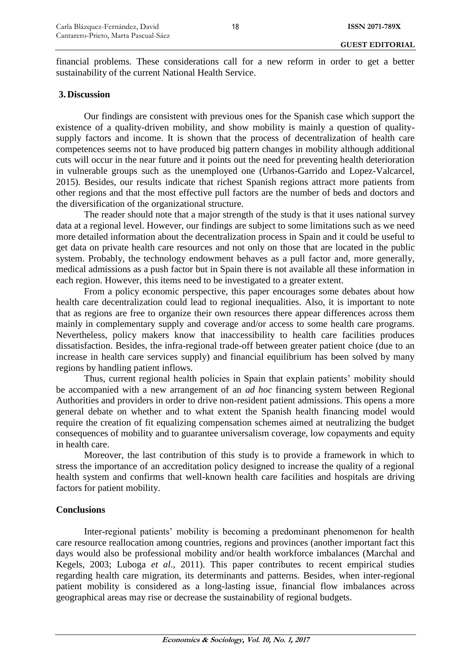financial problems. These considerations call for a new reform in order to get a better sustainability of the current National Health Service.

#### **3. Discussion**

Our findings are consistent with previous ones for the Spanish case which support the existence of a quality-driven mobility, and show mobility is mainly a question of qualitysupply factors and income. It is shown that the process of decentralization of health care competences seems not to have produced big pattern changes in mobility although additional cuts will occur in the near future and it points out the need for preventing health deterioration in vulnerable groups such as the unemployed one (Urbanos-Garrido and Lopez-Valcarcel, 2015). Besides, our results indicate that richest Spanish regions attract more patients from other regions and that the most effective pull factors are the number of beds and doctors and the diversification of the organizational structure.

The reader should note that a major strength of the study is that it uses national survey data at a regional level. However, our findings are subject to some limitations such as we need more detailed information about the decentralization process in Spain and it could be useful to get data on private health care resources and not only on those that are located in the public system. Probably, the technology endowment behaves as a pull factor and, more generally, medical admissions as a push factor but in Spain there is not available all these information in each region. However, this items need to be investigated to a greater extent.

From a policy economic perspective, this paper encourages some debates about how health care decentralization could lead to regional inequalities. Also, it is important to note that as regions are free to organize their own resources there appear differences across them mainly in complementary supply and coverage and/or access to some health care programs. Nevertheless, policy makers know that inaccessibility to health care facilities produces dissatisfaction. Besides, the infra-regional trade-off between greater patient choice (due to an increase in health care services supply) and financial equilibrium has been solved by many regions by handling patient inflows.

Thus, current regional health policies in Spain that explain patients' mobility should be accompanied with a new arrangement of an *ad hoc* financing system between Regional Authorities and providers in order to drive non-resident patient admissions. This opens a more general debate on whether and to what extent the Spanish health financing model would require the creation of fit equalizing compensation schemes aimed at neutralizing the budget consequences of mobility and to guarantee universalism coverage, low copayments and equity in health care.

Moreover, the last contribution of this study is to provide a framework in which to stress the importance of an accreditation policy designed to increase the quality of a regional health system and confirms that well-known health care facilities and hospitals are driving factors for patient mobility.

# **Conclusions**

Inter-regional patients' mobility is becoming a predominant phenomenon for health care resource reallocation among countries, regions and provinces (another important fact this days would also be professional mobility and/or health workforce imbalances (Marchal and Kegels, 2003; Luboga *et al*., 2011). This paper contributes to recent empirical studies regarding health care migration, its determinants and patterns. Besides, when inter-regional patient mobility is considered as a long-lasting issue, financial flow imbalances across geographical areas may rise or decrease the sustainability of regional budgets.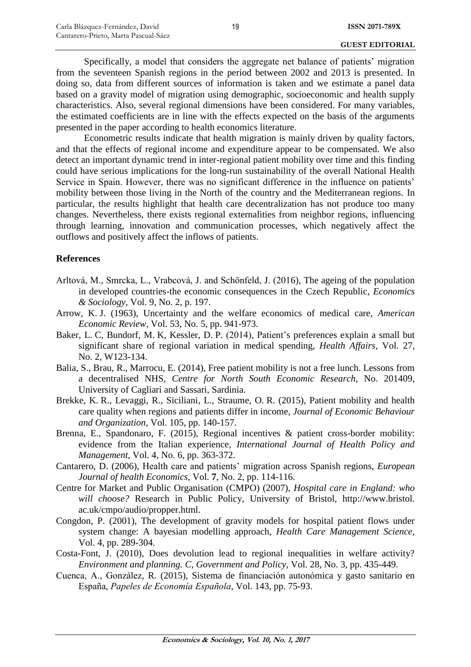Specifically, a model that considers the aggregate net balance of patients' migration from the seventeen Spanish regions in the period between 2002 and 2013 is presented. In doing so, data from different sources of information is taken and we estimate a panel data based on a gravity model of migration using demographic, socioeconomic and health supply characteristics. Also, several regional dimensions have been considered. For many variables, the estimated coefficients are in line with the effects expected on the basis of the arguments presented in the paper according to health economics literature.

Econometric results indicate that health migration is mainly driven by quality factors, and that the effects of regional income and expenditure appear to be compensated. We also detect an important dynamic trend in inter-regional patient mobility over time and this finding could have serious implications for the long-run sustainability of the overall National Health Service in Spain. However, there was no significant difference in the influence on patients' mobility between those living in the North of the country and the Mediterranean regions. In particular, the results highlight that health care decentralization has not produce too many changes. Nevertheless, there exists regional externalities from neighbor regions, influencing through learning, innovation and communication processes, which negatively affect the outflows and positively affect the inflows of patients.

## **References**

- Arltová, M., Smrcka, L., Vrabcová, J. and Schönfeld, J. (2016), The ageing of the population in developed countries-the economic consequences in the Czech Republic, *Economics & Sociology*, Vol. 9, No. 2, p. 197.
- Arrow, K. J. (1963), Uncertainty and the welfare economics of medical care, *American Economic Review*, Vol. 53, No. 5, pp. 941-973.
- Baker, L. C, Bundorf, M. K, Kessler, D. P. (2014), Patient's preferences explain a small but significant share of regional variation in medical spending, *Health Affairs*, Vol. 27, No. 2, W123-134.
- Balia, S., Brau, R., Marrocu, E. (2014), Free patient mobility is not a free lunch. Lessons from a decentralised NHS, *Centre for North South Economic Research*, No. 201409, University of Cagliari and Sassari, Sardinia.
- Brekke, K. R., Levaggi, R., Siciliani, L., Straume, O. R. (2015), Patient mobility and health care quality when regions and patients differ in income, *J*o*urnal of Economic Behaviour and Organization*, Vol. 105, pp. 140-157.
- Brenna, E., Spandonaro, F. (2015), Regional incentives & patient cross-border mobility: evidence from the Italian experience, *International Journal of Health Policy and Management*, Vol. 4, No. 6, pp. 363-372.
- Cantarero, D. (2006), Health care and patients' migration across Spanish regions, *European Journal of health Economics*, Vol. **7**, No. 2, pp. 114-116.
- Centre for Market and Public Organisation (CMPO) (2007), *Hospital care in England: who will choose?* Research in Public Policy, University of Bristol, http://www.bristol. ac.uk/cmpo/audio/propper.html.
- Congdon, P. (2001), The development of gravity models for hospital patient flows under system change: A bayesian modelling approach, *Health Care Management Science*, Vol. 4, pp. 289-304.
- Costa-Font, J. (2010), Does devolution lead to regional inequalities in welfare activity? *Environment and planning. C, Government and Policy*, Vol. 28, No. 3, pp. 435-449.
- Cuenca, A., González, R. (2015), Sistema de financiación autonómica y gasto sanitario en España, *Papeles de Economía Española*, Vol. 143, pp. 75-93.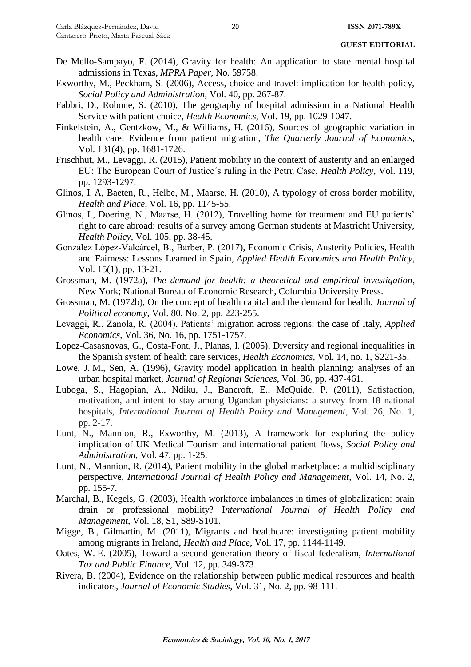De Mello-Sampayo, F. (2014), Gravity for health: An application to state mental hospital admissions in Texas, *MPRA Paper*, No. 59758.

20

- Exworthy, M., Peckham, S. (2006), Access, choice and travel: implication for health policy, *Social Policy and Administration*, Vol. 40, pp. 267-87.
- Fabbri, D., Robone, S. (2010), The geography of hospital admission in a National Health Service with patient choice, *Health Economics*, Vol. 19, pp. 1029-1047.
- Finkelstein, A., Gentzkow, M., & Williams, H. (2016), Sources of geographic variation in health care: Evidence from patient migration, *The Quarterly Journal of Economics*, Vol. 131(4), pp. 1681-1726.
- Frischhut, M., Levaggi, R. (2015), Patient mobility in the context of austerity and an enlarged EU: The European Court of Justice´s ruling in the Petru Case, *Health Policy*, Vol. 119, pp. 1293-1297.
- Glinos, I. A, Baeten, R., Helbe, M., Maarse, H. (2010), A typology of cross border mobility, *Health and Place*, Vol. 16, pp. 1145-55.
- Glinos, I., Doering, N., Maarse, H. (2012), Travelling home for treatment and EU patients' right to care abroad: results of a survey among German students at Mastricht University, *Health Policy*, Vol. 105, pp. 38-45.
- González López-Valcárcel, B., Barber, P. (2017), Economic Crisis, Austerity Policies, Health and Fairness: Lessons Learned in Spain, *Applied Health Economics and Health Policy*, Vol. 15(1), pp. 13-21.
- Grossman, M. (1972a), *The demand for health: a theoretical and empirical investigation*, New York; National Bureau of Economic Research, Columbia University Press.
- Grossman, M. (1972b), On the concept of health capital and the demand for health, *Journal of Political economy*, Vol. 80, No. 2, pp. 223-255.
- Levaggi, R., Zanola, R. (2004), Patients' migration across regions: the case of Italy, *Applied Economics*, Vol. 36, No. 16, pp. 1751-1757.
- Lopez-Casasnovas, G., Costa-Font, J., Planas, I. (2005), Diversity and regional inequalities in the Spanish system of health care services, *Health Economics,* Vol. 14, no. 1, S221-35.
- Lowe, J. M., Sen, A. (1996), Gravity model application in health planning: analyses of an urban hospital market, *Journal of Regional Sciences*, Vol. 36, pp. 437-461.
- Luboga, S., Hagopian, A., Ndiku, J., Bancroft, E., McQuide, P. (2011), Satisfaction, motivation, and intent to stay among Ugandan physicians: a survey from 18 national hospitals, *International Journal of Health Policy and Management*, Vol. 26, No. 1, pp. 2-17.
- Lunt, N., Mannion, R., Exworthy, M. (2013), A framework for exploring the policy implication of UK Medical Tourism and international patient flows, *Social Policy and Administration*, Vol. 47, pp. 1-25.
- Lunt, N., Mannion, R. (2014), Patient mobility in the global marketplace: a multidisciplinary perspective, *International Journal of Health Policy and Management*, Vol. 14, No. 2, pp. 155-7.
- Marchal, B., Kegels, G. (2003), Health workforce imbalances in times of globalization: brain drain or professional mobility? I*nternational Journal of Health Policy and Management*, Vol. 18, S1, S89-S101.
- Migge, B., Gilmartin, M. (2011), Migrants and healthcare: investigating patient mobility among migrants in Ireland, *Health and Place*, Vol. 17, pp. 1144-1149.
- Oates, W. E. (2005), Toward a second-generation theory of fiscal federalism, *International Tax and Public Finance*, Vol. 12, pp. 349-373.
- Rivera, B. (2004), Evidence on the relationship between public medical resources and health indicators, *Journal of Economic Studies*, Vol. 31, No. 2, pp. 98-111.